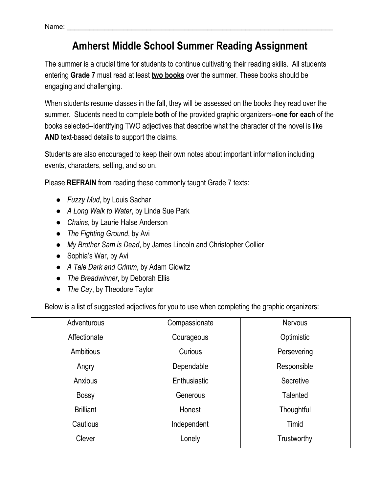## **Amherst Middle School Summer Reading Assignment**

The summer is a crucial time for students to continue cultivating their reading skills. All students entering **Grade 7** must read at least **two books** over the summer. These books should be engaging and challenging.

When students resume classes in the fall, they will be assessed on the books they read over the summer. Students need to complete **both** of the provided graphic organizers--**one for each** of the books selected--identifying TWO adjectives that describe what the character of the novel is like **AND** text-based details to support the claims.

Students are also encouraged to keep their own notes about important information including events, characters, setting, and so on.

Please **REFRAIN** from reading these commonly taught Grade 7 texts:

- *Fuzzy Mud*, by Louis Sachar
- *A Long Walk to Water*, by Linda Sue Park
- *Chains*, by Laurie Halse Anderson
- *The Fighting Ground*, by Avi
- *My Brother Sam is Dead*, by James Lincoln and Christopher Collier
- Sophia's War, by Avi
- *A Tale Dark and Grimm*, by Adam Gidwitz
- *The Breadwinner*, by Deborah Ellis
- *The Cay*, by Theodore Taylor

Below is a list of suggested adjectives for you to use when completing the graphic organizers:

| Adventurous      | Compassionate | <b>Nervous</b>  |  |
|------------------|---------------|-----------------|--|
| Affectionate     | Courageous    | Optimistic      |  |
| Ambitious        | Curious       | Persevering     |  |
| Angry            | Dependable    | Responsible     |  |
| Anxious          | Enthusiastic  | Secretive       |  |
| <b>Bossy</b>     | Generous      | <b>Talented</b> |  |
| <b>Brilliant</b> | Honest        | Thoughtful      |  |
| Cautious         | Independent   | Timid           |  |
| Clever           | Lonely        | Trustworthy     |  |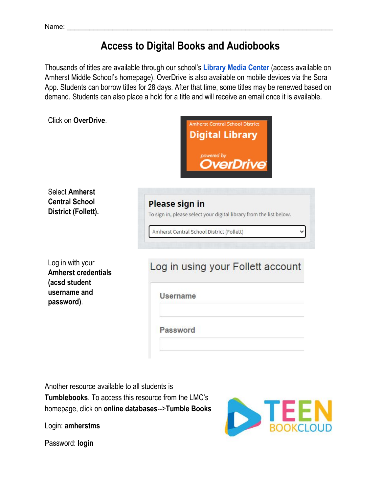## **Access to Digital Books and Audiobooks**

Thousands of titles are available through our school's **[Library](https://sites.google.com/amherstschools.org/mslmc?authuser=1) Media Center** (access available on Amherst Middle School's homepage). OverDrive is also available on mobile devices via the Sora App. Students can borrow titles for 28 days. After that time, some titles may be renewed based on demand. Students can also place a hold for a title and will receive an email once it is available.

| Click on OverDrive.                                                                           | <b>Amherst Central School District</b><br><b>Digital Library</b><br>powered by<br>OverDrive®                                              |  |  |
|-----------------------------------------------------------------------------------------------|-------------------------------------------------------------------------------------------------------------------------------------------|--|--|
| <b>Select Amherst</b><br><b>Central School</b><br>District (Follett).                         | <b>Please sign in</b><br>To sign in, please select your digital library from the list below.<br>Amherst Central School District (Follett) |  |  |
| Log in with your<br><b>Amherst credentials</b><br>(acsd student<br>username and<br>password). | Log in using your Follett account<br><b>Username</b><br>Password                                                                          |  |  |

Another resource available to all students is **Tumblebooks**. To access this resource from the LMC's homepage, click on **online databases**-->**Tumble Books**

Login: **amherstms**



Password: **login**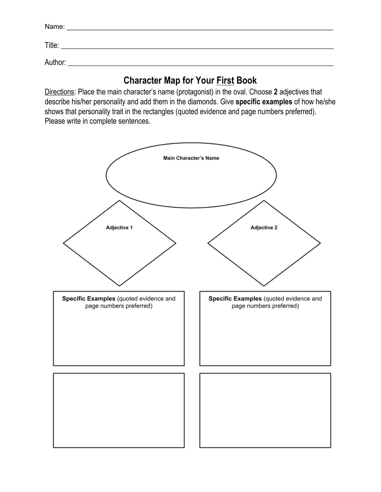| Name:   |  |
|---------|--|
| Title:  |  |
| Author: |  |

## **Character Map for Your First Book**

Directions: Place the main character's name (protagonist) in the oval. Choose **2** adjectives that describe his/her personality and add them in the diamonds. Give **specific examples** of how he/she shows that personality trait in the rectangles (quoted evidence and page numbers preferred). Please write in complete sentences.